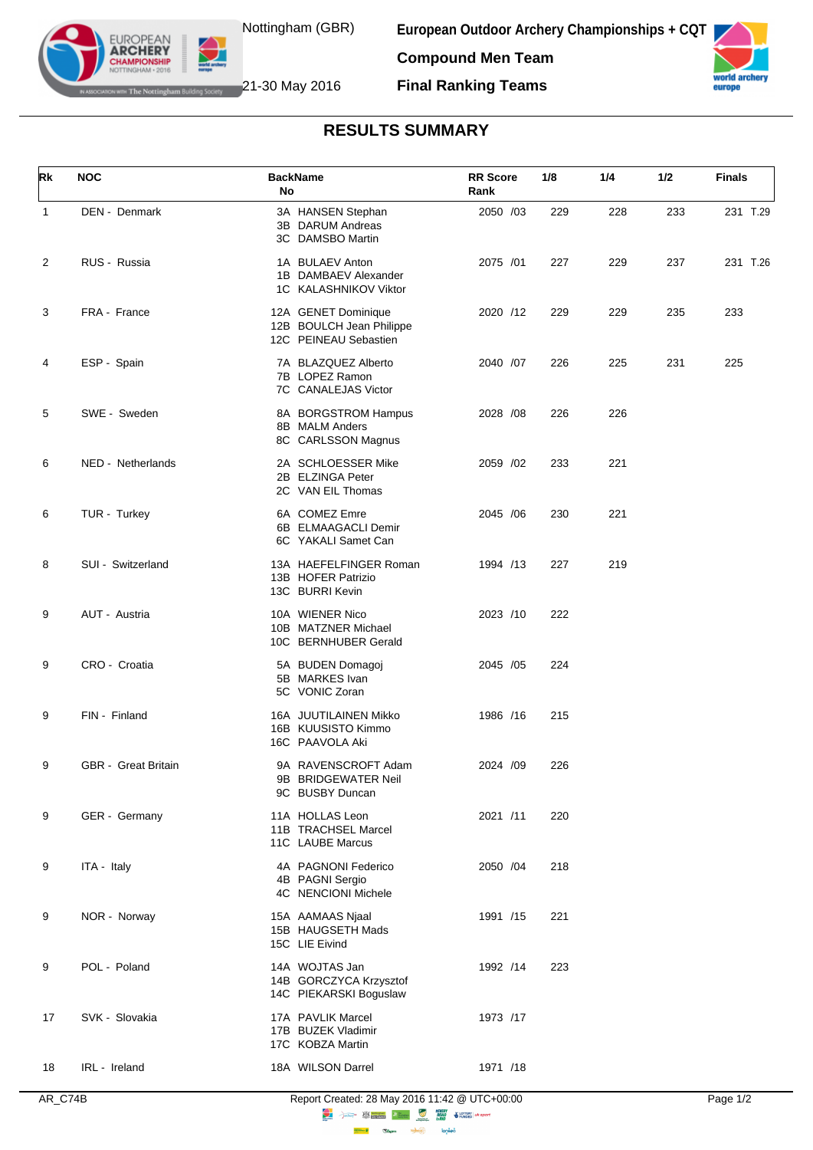

**European Outdoor Archery Championships + CQT Compound Men Team**



The Nottingham Building Society 21-30 May 2016

EUROPEAN **ARCHERY** 

**Final Ranking Teams**

## **RESULTS SUMMARY**

| Rk           | <b>NOC</b>                 | <b>BackName</b><br>No                                                    | <b>RR</b> Score<br>Rank | 1/8 | 1/4 | 1/2 | <b>Finals</b> |
|--------------|----------------------------|--------------------------------------------------------------------------|-------------------------|-----|-----|-----|---------------|
| $\mathbf{1}$ | DEN - Denmark              | 3A HANSEN Stephan<br>3B DARUM Andreas<br>3C DAMSBO Martin                | 2050 /03                | 229 | 228 | 233 | 231 T.29      |
| 2            | RUS - Russia               | 1A BULAEV Anton<br>1B DAMBAEV Alexander<br>1C KALASHNIKOV Viktor         | 2075 /01                | 227 | 229 | 237 | 231 T.26      |
| 3            | FRA - France               | 12A GENET Dominique<br>12B BOULCH Jean Philippe<br>12C PEINEAU Sebastien | 2020 /12                | 229 | 229 | 235 | 233           |
| 4            | ESP - Spain                | 7A BLAZQUEZ Alberto<br>7B LOPEZ Ramon<br>7C CANALEJAS Victor             | 2040 /07                | 226 | 225 | 231 | 225           |
| 5            | SWE - Sweden               | 8A BORGSTROM Hampus<br>8B MALM Anders<br>8C CARLSSON Magnus              | 2028 /08                | 226 | 226 |     |               |
| 6            | NED - Netherlands          | 2A SCHLOESSER Mike<br>2B ELZINGA Peter<br>2C VAN EIL Thomas              | 2059 /02                | 233 | 221 |     |               |
| 6            | TUR - Turkey               | 6A COMEZ Emre<br>6B ELMAAGACLI Demir<br>6C YAKALI Samet Can              | 2045 / 06               | 230 | 221 |     |               |
| 8            | SUI - Switzerland          | 13A HAEFELFINGER Roman<br>13B HOFER Patrizio<br>13C BURRI Kevin          | 1994 /13                | 227 | 219 |     |               |
| 9            | AUT - Austria              | 10A WIENER Nico<br>10B MATZNER Michael<br>10C BERNHUBER Gerald           | 2023 /10                | 222 |     |     |               |
| 9            | CRO - Croatia              | 5A BUDEN Domagoj<br>5B MARKES Ivan<br>5C VONIC Zoran                     | 2045 / 05               | 224 |     |     |               |
| 9            | FIN - Finland              | 16A JUUTILAINEN Mikko<br>16B KUUSISTO Kimmo<br>16C PAAVOLA Aki           | 1986 /16                | 215 |     |     |               |
| 9            | <b>GBR</b> - Great Britain | 9A RAVENSCROFT Adam<br>9B BRIDGEWATER Neil<br>9C BUSBY Duncan            | 2024 /09                | 226 |     |     |               |
| 9            | GER - Germany              | 11A HOLLAS Leon<br>11B TRACHSEL Marcel<br>11C LAUBE Marcus               | 2021 /11                | 220 |     |     |               |
| 9            | ITA - Italy                | 4A PAGNONI Federico<br>4B PAGNI Sergio<br>4C NENCIONI Michele            | 2050 /04                | 218 |     |     |               |
| 9            | NOR - Norway               | 15A AAMAAS Njaal<br>15B HAUGSETH Mads<br>15C LIE Eivind                  | 1991 /15                | 221 |     |     |               |
| 9            | POL - Poland               | 14A WOJTAS Jan<br>14B GORCZYCA Krzysztof<br>14C PIEKARSKI Boguslaw       | 1992 /14                | 223 |     |     |               |
| 17           | SVK - Slovakia             | 17A PAVLIK Marcel<br>17B BUZEK Vladimir<br>17C KOBZA Martin              | 1973 /17                |     |     |     |               |
| 18           | IRL - Ireland              | 18A WILSON Darrel                                                        | 1971 /18                |     |     |     |               |